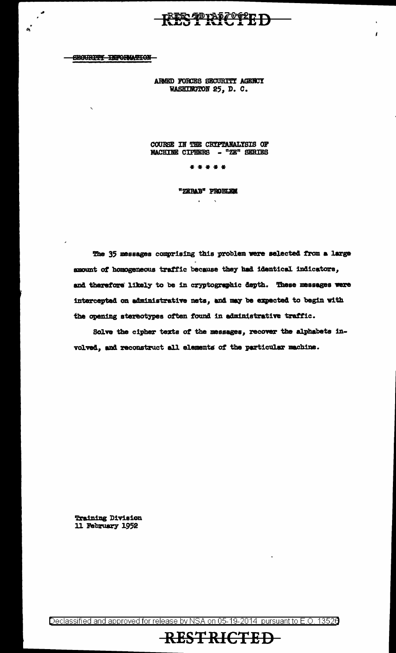#### **SECURITY INFORMATION**

 $\cdot$ 

 $\mathbf{r}$ 

ARMED FORCES SECURITY AGENCY WASHINGTON 25, D. C.

RESTRICTED

 $\epsilon$ 

COURSE IN THE CRIPTANALYSIS OF MACHINE CIPHERS - "ZE" SERIES

\* \* \* \* \*

"ZEBAB" PROBLEM

 $\mathcal{A}^{\mathcal{A}}$ 

 $\sim 10^7$ 

The 35 messages comprising this problem were selected from a large amount of homogeneous traffic because they had identical indicators, and therefore likely to be in cryptographic depth. These messages were intercepted on administrative nets, and may be expected to begin with the opening stereotypes often found in administrative traffic.

Solve the cipher texts of the messages, recover the alphabets involved, and reconstruct all elements of the particular machine.

**Training Division** 11 February 1952

Declassified and approved for release by NSA on 05-19-2014 pursuant to E.O. 13526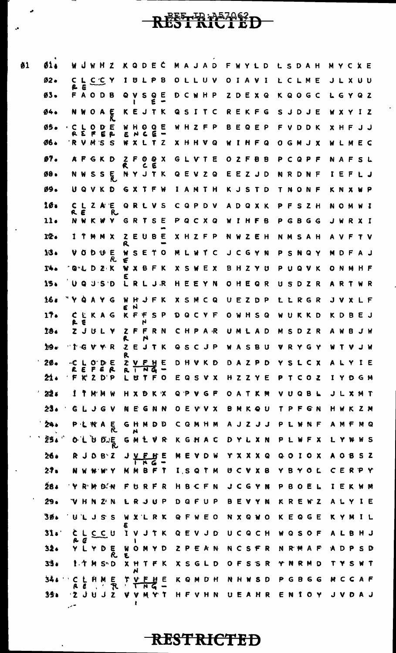# RESTRASZOSZD-

 $\emptyset$ 1

| 01.             |          |                | <b>WUWHZ</b>                 |                     |                                |              | KQDEC                |       |            |                              |       |       |                  |    |     |                  |                |       | MAJAD FWYLD LSDAH |         |              |       |     | MYCXE |       |              |     |  |
|-----------------|----------|----------------|------------------------------|---------------------|--------------------------------|--------------|----------------------|-------|------------|------------------------------|-------|-------|------------------|----|-----|------------------|----------------|-------|-------------------|---------|--------------|-------|-----|-------|-------|--------------|-----|--|
| $02 -$          |          | E              | CLCCY                        |                     |                                | 1.           |                      | ULPB  |            |                              |       |       | OLLUV            |    |     | OIAVI            |                |       |                   |         | LCLME        |       |     |       |       | JLXUU        |     |  |
| $03 -$          |          |                | <b>FAODB</b>                 |                     |                                |              | QVSQE                |       |            |                              |       |       | <b>D C W H P</b> |    |     | ZDEXQ            |                |       |                   |         | KQOGC        |       |     |       |       | LGYQZ        |     |  |
| 94.             |          | N W            |                              | $O$ A $\frac{1}{b}$ |                                |              | KEJTK                |       |            |                              |       |       | QSITC            |    |     | REKFG            |                |       |                   |         | SJDJE        |       |     |       |       | WXYIZ        |     |  |
| ØŚ.             |          |                | $C$ $C$ $D$ $D$ $E$<br>REFER |                     |                                |              | <b>WHOQE</b><br>ENCE |       |            | $\qquad \qquad \blacksquare$ |       |       | WHZFP            |    |     | BEQEP            |                |       |                   |         | FVDDK        |       |     |       |       | X H F J J    |     |  |
| 06.             |          |                | RVMSS                        |                     |                                |              | WXLTZ                |       |            |                              |       |       | X H H V Q        | W. |     | INFQ             |                |       |                   |         | OGMJX        |       |     |       |       | WLMEC        |     |  |
| ø7.             |          |                | <b>AFGKD</b>                 |                     |                                | R.           | 2 F O Q X            |       | E          |                              |       |       | GLVTE            |    |     | OZFBB            |                |       |                   |         | PCQPF        |       |     |       |       | NAFSL        |     |  |
| 98.             |          |                | <b>NWSSE</b>                 |                     |                                |              | NYJTK                |       |            |                              |       |       | QEVZQ            |    |     | EEZJD            |                |       |                   |         | NRDNF        |       |     |       |       | IEFLJ        |     |  |
| Ø9.             |          |                |                              |                     | UQVKD GXTFW                    |              |                      |       |            |                              |       |       | IAMTH            |    |     | KJSTD            |                |       | T.                |         | NONF         |       |     |       |       | KNXWP        |     |  |
| 10 <sup>a</sup> |          | R E            |                              |                     | CLZAE<br>R                     |              | <b>QRLVS</b>         |       |            |                              |       |       | CQPDV            |    |     | ADQXK            |                |       |                   |         | PFSZH        |       |     |       |       | NOWMI        |     |  |
| 11 <sub>0</sub> |          |                |                              |                     | NWKWY GRTSE                    |              |                      |       |            |                              |       |       | PQCXQ            |    |     | WIHFB            |                |       |                   |         | PGBGG        |       |     |       |       | JWRXI        |     |  |
| 12.             |          |                | <b>ITMMX</b>                 |                     |                                | R            | <b>ZEUBE</b>         |       |            |                              |       |       | XHZFP            |    |     | NWZEH            |                |       |                   |         | NMSAH        |       |     |       |       | AVFTV        |     |  |
| 13.             |          |                | <b>VODUE</b>                 |                     | R.                             | €            | WSETO                |       |            |                              |       |       | MLWTC            |    |     | J C G Y N        |                |       |                   |         | PSNQY        |       |     |       |       | MDFAJ        |     |  |
| T4.             |          |                |                              |                     | <b>GLDZK WXBFK</b>             |              |                      |       |            |                              |       |       | <b>XSWEX</b>     |    |     | BHZYU            |                |       |                   |         | PUQVK        |       |     |       |       | ONMHF        |     |  |
| 15.             |          |                | U Q J S D                    |                     |                                | LRLJR        |                      |       |            |                              |       |       | HEEYN            |    |     | OHEQR            |                |       |                   |         | USDZR        |       |     |       |       | ARTWR        |     |  |
| 16.             | "YQAYG   |                |                              |                     |                                |              | WHJFK<br>E H         |       |            |                              |       |       | <b>XSMCQ</b>     |    |     | UEZDP            |                |       |                   |         | LLRGR        |       |     |       |       | <b>JVXLF</b> |     |  |
| 17.             |          | R E            |                              |                     | CLKAG KFFSP                    |              |                      | N     |            |                              |       |       | DQCYF            |    |     | OWHSQ            |                |       |                   |         | WUKKD        |       |     |       |       | K D B E J    |     |  |
| 18.             |          |                | ZJULY                        |                     |                                | R.           |                      | N     |            | ZFFRN                        | CHPAR |       |                  |    |     | UMLAD            |                |       |                   |         | MSDZR        |       |     |       |       | AWBJW        |     |  |
| 19.             |          |                |                              |                     | "IGVYR ZEJTK QSCJP WASBU VRYGY | R            |                      |       |            |                              |       |       |                  |    |     |                  |                |       |                   |         |              |       |     |       |       | <b>WIVJW</b> |     |  |
| 20.             | -C<br>R. |                | EFER                         | ODE                 |                                | R            | <b>ZVFHE</b>         | N     | G          | $\mathbf{m}$                 |       |       | DHVKD            |    |     | DAZPD            |                |       | Y                 | 5 L     |              | C X   |     | A     |       |              | IE  |  |
| 21.             |          |                | ' F K 2 D P                  |                     |                                |              | U                    |       |            | T F O                        |       |       | EQSVX            |    |     | HZZYE            |                |       | Р.                |         | T C O Z      |       |     |       |       | IYDGM        |     |  |
| 22.             | Ϊ.       |                |                              | M'M W               |                                |              | HXDKX                |       |            |                              |       | Q P V | G F              |    |     | OATKM            |                |       | v.                | U       |              | Q B L |     |       |       | J L X M T    |     |  |
| 23.             |          |                | GLJGV                        |                     |                                | N.           |                      | Ë G   |            | N N                          |       |       | <b>O E V V X</b> |    |     | BMKQU            |                |       |                   | P       | FGN          |       |     |       |       | H W K        | Z N |  |
| 24.             |          |                | PLNA                         |                     | $\bar{\mathsf{R}}$             |              | GHMDD<br>N           |       |            |                              |       |       | CQMHM            |    |     | A J Z            |                | JJ    | P                 |         | <b>WNF</b>   |       |     |       |       | A M F        | M Q |  |
| 25.             |          | 0 <sub>1</sub> | U                            |                     | $D \cup \mathsf{E}$            |              | GMLV                 |       |            | R                            |       |       | KGHAC            |    |     | DYLXN            |                |       |                   | P L     |              |       | X   |       | L Y   |              | W S |  |
| 26.             |          |                | R J D B Z                    |                     |                                |              |                      |       |            |                              |       |       | <b>MEADM</b>     |    |     | <b>Y X X X Q</b> |                |       |                   | $Q$ $Q$ | I O X        |       |     |       |       | AOBSZ        |     |  |
| 27.             |          |                |                              |                     |                                |              | <b>MMBFT</b>         |       |            |                              |       |       | I, S, Q, T, M    |    |     | <b>UCV</b>       |                | $X$ 8 |                   |         | ΥΒΥΟΙ        |       |     | C     |       | ERPY         |     |  |
| 284             |          |                | 'Y R M D'N                   |                     |                                | F.           |                      | U R F |            | R                            |       |       | HBCFN            |    |     | J C G            |                | YN    | Р.                | В.      | $\mathbf{o}$ | E     |     | 1     |       | E K          | W M |  |
| 29.             |          | H              | N                            |                     | $Z^{\mu}$ N                    |              | しゃJU                 |       |            | . P                          |       |       | DQFUP            |    |     | BEV              |                | YN    |                   |         | KREWZ        |       |     |       |       | ALYIE        |     |  |
| 30.             |          |                | ULJSS                        |                     |                                |              | WXLRK                |       |            |                              |       |       | Q F W E O        |    |     | <b>NXQWO</b>     |                |       |                   |         | KEQGE        |       |     |       |       | K Y M        |     |  |
| $31$ s          |          | e              | <b>CLCCU</b>                 |                     |                                | $\mathbf{I}$ |                      | VJTK  |            |                              |       |       | <b>QEVJD</b>     |    |     | UCQCH            |                |       |                   |         | WQSOF        |       |     |       | A L B |              | H J |  |
| 32.             |          |                |                              |                     | Y D E<br>R                     | W<br>E,      |                      | OMYD  |            |                              |       |       | <b>ZPEAN</b>     |    |     | NCSFR            |                |       |                   |         | NRWAF        |       |     |       |       | A D P        | S D |  |
| 33              |          |                | 1 T M S D                    |                     |                                |              | X H T F K<br>N       |       |            |                              |       |       | XSGLD            |    | OF. |                  | S <sub>5</sub> | R     |                   | N       | R M D        |       |     |       |       | s            | WT  |  |
| 34 s            |          | C L            |                              | H M                 | E.<br>R                        | $\mathbf{I}$ | TV.                  |       | <u> דע</u> | <u>F H</u> E                 |       |       | K Q M D H        |    | N H | W                | S              | D     | Р                 | G       | 8            |       | G G |       |       | M C C A F    |     |  |
| ろうる             |          |                | 'Z J U                       | J                   | $\mathbf{z}$                   | ٧            | ۷                    |       |            | MYT                          |       |       | <b>HFVHN</b>     |    |     | UEAHR            |                |       | E                 | - N     |              | O     | . Y |       |       |              |     |  |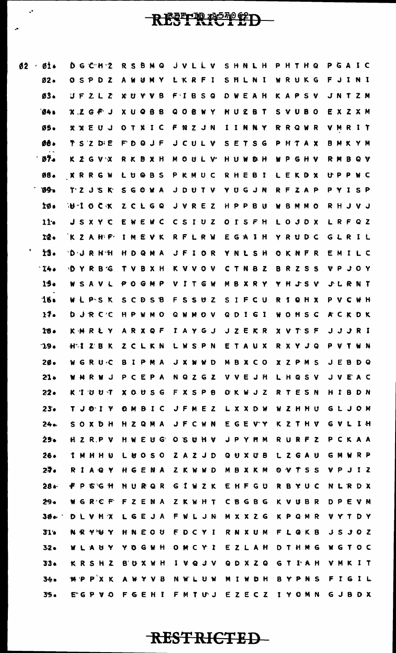### REFERE<sup>FORD</sup>

| Ø£      | <b>AT 4</b>     |     |         | U 9 L T L |     |    |                  |    |             |              |              |   |      |                  |   |    |         |     |              | אטווויז האזה כ שאמיש אסמכת                                         |    |              |      |    |     |     |              |                           |  |
|---------|-----------------|-----|---------|-----------|-----|----|------------------|----|-------------|--------------|--------------|---|------|------------------|---|----|---------|-----|--------------|--------------------------------------------------------------------|----|--------------|------|----|-----|-----|--------------|---------------------------|--|
|         | Ø2 .            |     |         |           |     |    |                  |    |             |              |              |   |      |                  |   |    |         |     |              | OSPDZ AWUMY LKRFI SHLNI WRUKG FJINI                                |    |              |      |    |     |     |              |                           |  |
|         | ØŜ.             |     |         |           |     |    |                  |    |             |              |              |   |      |                  |   |    |         |     |              | <b>UFZLZ XUYVB FIBSQ DWEAH KAPSV JNTZM</b>                         |    |              |      |    |     |     |              |                           |  |
|         | 64.1            |     |         |           |     |    |                  |    |             |              |              |   |      |                  |   |    |         |     |              | XZG # J XUQBB QOBNY HUZBT SVUBO EXZXM                              |    |              |      |    |     |     |              |                           |  |
|         | ØŚ.             |     |         |           |     |    |                  |    |             |              |              |   |      |                  |   |    |         |     |              | XXEUJ OTXIC FNZJN IINNY RRQWR VMRIT                                |    |              |      |    |     |     |              |                           |  |
|         | <b>08.</b>      |     |         |           |     |    |                  |    |             |              |              |   |      |                  |   |    |         |     |              | TSZDE FDQJF JCULV SETSG PHTAX BMKYM                                |    |              |      |    |     |     |              |                           |  |
|         | ነ ውን∗           |     |         |           |     |    |                  |    |             |              |              |   |      |                  |   |    |         |     |              | KZGVX RKBXH MOULV HUWBH WPGHV RMBQV                                |    |              |      |    |     |     |              |                           |  |
|         | Ø8.             |     |         |           |     |    |                  |    |             |              |              |   |      |                  |   |    |         |     |              | X R R G W L U @ B S P K M U C R H E B I L E K D X U P P W C        |    |              |      |    |     |     |              |                           |  |
|         | 09.             |     |         |           |     |    |                  |    |             |              |              |   |      |                  |   |    |         |     |              | TZ JSK SGOWA JDUTV YUGJN RFZAP PYISP                               |    |              |      |    |     |     |              |                           |  |
|         | 1Ø.             |     |         |           |     |    |                  |    |             |              |              |   |      |                  |   |    |         |     |              | <b>WHOCK ZCLGQ JVREZ HPPBU WBMMO RHJVJ</b>                         |    |              |      |    |     |     |              |                           |  |
|         | 11 <sub>o</sub> |     |         |           |     |    |                  |    |             |              |              |   |      |                  |   |    |         |     |              | JSXYC EWEWC CSIUZ OISFH LOJDX LRFQZ                                |    |              |      |    |     |     |              |                           |  |
|         | 12.             |     |         |           |     |    |                  |    |             |              |              |   |      |                  |   |    |         |     |              | KZAHF IMEVK RFLRW EGAIH YRUDC GLRIL                                |    |              |      |    |     |     |              |                           |  |
| March 1 | ÌŜ.             |     |         |           |     |    |                  |    |             |              |              |   |      |                  |   |    |         |     |              | <b>DURHH HOQMA JFIOR YNLSH OKNFR EMILC</b>                         |    |              |      |    |     |     |              |                           |  |
|         | $-14.$          |     |         |           |     |    |                  |    |             |              |              |   |      |                  |   |    |         |     |              | <b>DYRBG TVBXH KVVOV CTNBZ BRZSS VPJOY</b>                         |    |              |      |    |     |     |              |                           |  |
|         | 15.             |     |         |           |     |    |                  |    |             |              |              |   |      |                  |   |    |         |     |              | W S A V L P O G M P V I T G W M B X R Y Y H J S V J L R N T        |    |              |      |    |     |     |              |                           |  |
|         | 16.             |     |         |           |     |    |                  |    |             |              |              |   |      |                  |   |    |         |     |              | W L PS K S C D S B F S S U Z S I F C U R I Q H X P V C W H         |    |              |      |    |     |     |              |                           |  |
|         | $17 -$          |     |         |           |     |    |                  |    |             |              |              |   |      |                  |   |    |         |     |              | <b>D J R C C H P W M O Q W M O V Q D I G I W O H S C A C K D K</b> |    |              |      |    |     |     |              |                           |  |
|         | 18.             |     |         |           |     |    |                  |    |             |              |              |   |      |                  |   |    |         |     |              | K M R Ł Y A R X Q F I A Y G J J Z E K R X V T S F J J J R I        |    |              |      |    |     |     |              |                           |  |
|         | 19.             |     |         |           |     |    |                  |    |             |              |              |   |      |                  |   |    |         |     |              | <b>HAIZBK ZCLKN LWSPN ETAUX RXYJQ PVTWN</b>                        |    |              |      |    |     |     |              |                           |  |
|         | 2Ø.             | w   |         | GRUC      |     | в  | х.               | P  | M           | A            | J            | х | - 14 | <b>W</b>         | D | M  | B       | X   | -C           | <b>O</b>                                                           | x  | Z P          | M    | -S | J   | Е   | B            | D Q                       |  |
|         | $21 -$          |     | R<br>м. |           | N J | P  | C.               | E. | P           | -A           |              |   |      | NQZGZ            |   | v. |         |     | VEJH         |                                                                    | L. |              | HQSV |    |     | JV  | EAC          |                           |  |
|         | $22-$           |     |         | K I U U T |     |    | <b>X O U S G</b> |    |             |              | F            |   |      | X S P B          |   |    | O K W J |     |              | Z                                                                  |    | <b>RTE</b>   | S N  |    | H I |     | В            | D N                       |  |
|         | $23-$           |     |         | Y I O TY  |     |    | OMBIC            |    |             |              |              |   |      | JFMEZ            |   |    |         |     | <b>LXXDW</b> |                                                                    | W  |              | ZHHU |    |     | GLJ |              | O M                       |  |
|         | $24 -$          |     |         | SOXDH     |     |    | H Z Q M A        |    |             |              |              |   |      | <b>JFCWN</b>     |   |    |         |     | EGEVY        |                                                                    |    | KZTHV        |      |    | G.  | v   | L.           | I H                       |  |
|         | 25×             |     |         | H Z R P V |     |    |                  |    |             | <b>HWEUG</b> | $\mathbf{o}$ |   |      | SUHV             |   |    |         |     | J P Y M M    |                                                                    |    | <b>RURFZ</b> |      |    | P   |     | CKAA         |                           |  |
|         | 26.             | Т.  | M       | H H U     |     | Ł. |                  |    | <b>BOSO</b> |              |              |   |      | ZAZJD            |   |    |         |     | <b>QUXUB</b> |                                                                    |    | LZGAU        |      |    | G   | M   | w            | R P                       |  |
|         | 27.             | R.  |         | A Q       | - Y |    | H G E            |    | N A         |              |              |   |      | Z K W W D        |   | M  |         |     | BXKM         |                                                                    |    | OVTSS        |      |    | v   | P.  | J            | $\mathbf{1}$ $\mathbf{2}$ |  |
|         | $28 -$          |     | P.      | GG H      |     |    | HURQR            |    |             |              |              |   |      | GIWZK            |   |    |         |     | EHFGU        |                                                                    | R  |              | BYUC |    |     | N L |              | RDX                       |  |
|         | 29.             |     |         | GRCF      |     | F  | z                | -E | N A         |              |              |   |      | ZKWHT            |   |    |         |     | CBGBG        |                                                                    | K. | V U          | B R  |    |     |     | DPEVM        |                           |  |
|         | $30 -$          | Ð   |         | LVHX      |     |    | L G              |    | EJA         |              | F.           |   |      | WLJN             |   |    |         |     | MXXZG        |                                                                    |    | KPQMR        |      |    |     |     | V Y T        | D Y                       |  |
|         | 31 <sub>0</sub> | N R |         | Y U       | Y   |    | HNEOU            |    |             |              |              |   |      | FDCYI            |   |    | R N     |     | X U M        |                                                                    | F  | LQKB         |      |    |     |     | JSJ          | OZ                        |  |
|         | $32 -$          |     |         | U<br>A    | Υ   | Y  |                  |    | <b>OGWH</b> |              |              |   |      | OMCYI            |   |    |         |     | EZLAH        |                                                                    | D  | THMG         |      |    | w   |     | <b>GTOC</b>  |                           |  |
|         | 33.             |     | K R S   |           | HZ  |    | B' O X W H       |    |             |              | 1            |   |      | V Q J V          |   |    |         |     | QDXZQ        |                                                                    |    | GTIAH        |      |    |     |     | <b>VMKIT</b> |                           |  |
|         | 34.             | ₩ P |         | PX K      |     |    | AWYVB            |    |             |              |              |   |      | <b>N W L U W</b> |   | M  |         | 1 W | D H          |                                                                    | 8  |              | YPNS |    |     |     | FIGIL        |                           |  |
|         | 35.             |     |         |           |     |    |                  |    |             |              |              |   |      |                  |   |    |         |     |              | E G P V O F G F H I F M T U J F 7 F C Z I Y O M N G J B D X        |    |              |      |    |     |     |              |                           |  |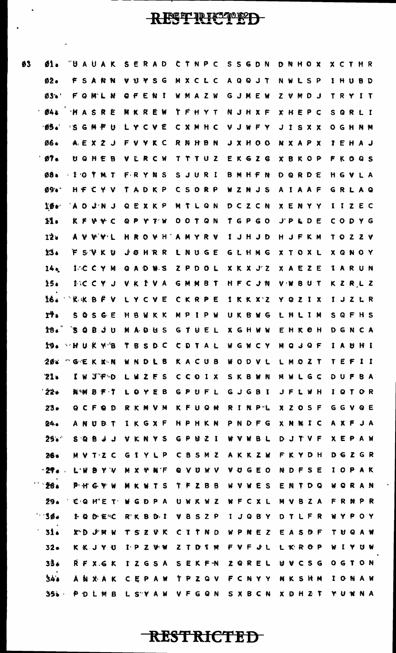$\boldsymbol{\theta}$ 

 $\ddot{\phantom{0}}$ 

| Ŝ. | 61.                                       | "U A U A K S E R A D C T N P C S S G D N D N H O X X C T H R  |  |  |  |              |  |  |  |  |                               |  |  |                                         |  |              |  |
|----|-------------------------------------------|---------------------------------------------------------------|--|--|--|--------------|--|--|--|--|-------------------------------|--|--|-----------------------------------------|--|--------------|--|
|    | 02 <sub>0</sub>                           | F S A N N V U Y S G M X C L C A Q Q J T N W L S P I H U B D   |  |  |  |              |  |  |  |  |                               |  |  |                                         |  |              |  |
|    | Ø3. FONLN OFENI WMAZW GJMEW ZVMDJ TRYIT   |                                                               |  |  |  |              |  |  |  |  |                               |  |  |                                         |  |              |  |
|    | 041                                       | <b>HASRE</b>                                                  |  |  |  | <b>WKREW</b> |  |  |  |  |                               |  |  | TFHYT NJHXF XHEPC SQRLI                 |  |              |  |
|    | ゆう。                                       | IS G M F U L Y C V E C X M H C V J W F Y J I S X X O G H N M  |  |  |  |              |  |  |  |  |                               |  |  |                                         |  |              |  |
|    | Ø6.                                       | A E X 2 J F V Y K C R N H B N J X H O O N X A P X P E H A J   |  |  |  |              |  |  |  |  |                               |  |  |                                         |  |              |  |
|    | 97.                                       | U Q H E B V L R C W T T T U Z E K G Z G X B K O P F K O Q S   |  |  |  |              |  |  |  |  |                               |  |  |                                         |  |              |  |
|    | 08 <sub>0</sub>                           | - I O T M T F R Y N S S J U R I B M H F N D Q R D E H G V L A |  |  |  |              |  |  |  |  |                               |  |  |                                         |  |              |  |
|    | <b>09.</b>                                | HF C Y V T A D K P C S O R P W Z N J S A I A A F G R L A Q    |  |  |  |              |  |  |  |  |                               |  |  |                                         |  |              |  |
|    | $10 -$                                    | A O J N J Q E X K P                                           |  |  |  |              |  |  |  |  |                               |  |  | MTLQN DCZCN XENYY IIZEC                 |  |              |  |
|    | 11.                                       | K F V Y C Q P Y T W O O T Q N T G P G O J P L D E C O D Y G   |  |  |  |              |  |  |  |  |                               |  |  |                                         |  |              |  |
|    | 12.                                       | AVVYL HROVH'AMYRV IJHJD HJFKM TOZZV                           |  |  |  |              |  |  |  |  |                               |  |  |                                         |  |              |  |
|    | 13.                                       | F S V K U J O H R R L N U G E G L H M G X T O X L X Q N O Y   |  |  |  |              |  |  |  |  |                               |  |  |                                         |  |              |  |
|    | 14 <sub>•</sub>                           | I C C Y M Q A D W S Z P D O L X K X J Z X A E Z E             |  |  |  |              |  |  |  |  |                               |  |  |                                         |  | <b>IARUN</b> |  |
|    | 15.                                       | INC C Y J V K I V A G M M B T H F C J N V W B U T K Z R L Z   |  |  |  |              |  |  |  |  |                               |  |  |                                         |  |              |  |
|    | I6. XKBFV LYCVE CKRPE IKKXZ YQZIX IJZLR   |                                                               |  |  |  |              |  |  |  |  |                               |  |  |                                         |  |              |  |
|    | rł.                                       | SQSGE HBWKK                                                   |  |  |  |              |  |  |  |  |                               |  |  | MPIPW UKBWG LHLIM SQFHS                 |  |              |  |
|    | 18. SOBJU MADUS GTUEL XGHWW EHKOH DGNCA   |                                                               |  |  |  |              |  |  |  |  |                               |  |  |                                         |  |              |  |
|    | 19. VHUKY'B TBSDC CDTAL WGWCY MQJQF IAUHI |                                                               |  |  |  |              |  |  |  |  |                               |  |  |                                         |  |              |  |
|    | 20.                                       | <b>GEKXN</b>                                                  |  |  |  | W N D L B    |  |  |  |  |                               |  |  | KACUB WODVL LMOZT TEFII                 |  |              |  |
|    | 21.                                       | I W J'F-D                                                     |  |  |  |              |  |  |  |  |                               |  |  | LWZFS CCOIX SKBWN MWLGC                 |  | DUFBA        |  |
|    | ' 22∙                                     | <b>N.W B F T</b>                                              |  |  |  |              |  |  |  |  | LOYEB GPUFL GJGBI JFLWH       |  |  |                                         |  | IQTOR        |  |
|    | 23.                                       | QCFQD                                                         |  |  |  |              |  |  |  |  |                               |  |  | RKMVM KFUQM RINP'L XZOSF                |  | GGVQE        |  |
|    | 24.                                       | A N U Ð T I K G X F H P H K N P N D F G X N N I C A X F J A   |  |  |  |              |  |  |  |  |                               |  |  |                                         |  |              |  |
|    | 25.                                       | S Q B J J V K N Y S G P W Z I W V W B L D J T V F X E P A W   |  |  |  |              |  |  |  |  |                               |  |  |                                         |  |              |  |
|    | 26.                                       | M V T Z C G I Y L P C B S M Z A K K Z W F K Y D H             |  |  |  |              |  |  |  |  |                               |  |  |                                         |  | DGZGR        |  |
|    | $-27$ .                                   | L'W B Y V M X Y N F                                           |  |  |  |              |  |  |  |  | Q V U W V V U G E O N D F S E |  |  |                                         |  | IOPAK        |  |
|    | 28.                                       | PHGYW                                                         |  |  |  |              |  |  |  |  |                               |  |  | M K W T S T F Z B B W V W E S E N T D Q |  | WQRAN        |  |
|    | 29.                                       | CQHET WGDPA UWKWZ WFCXL MVBZA                                 |  |  |  |              |  |  |  |  |                               |  |  |                                         |  | FRNPR        |  |
|    | $-30.$                                    | I Q D E KC R^K B D I V B S Z P I J Q B Y D T L F R            |  |  |  |              |  |  |  |  |                               |  |  |                                         |  | WYPOY        |  |
|    | 31.                                       | XD J N W                                                      |  |  |  |              |  |  |  |  |                               |  |  | TSZVK CITND WPNEZ EASDF                 |  | TUQAW        |  |
|    | $32-$                                     | K K J Y U                                                     |  |  |  |              |  |  |  |  |                               |  |  | <b>IPZWW ZTDIM FVFJL LKROP WIYUN</b>    |  |              |  |
|    | 33.                                       | <b>RFXGK</b>                                                  |  |  |  |              |  |  |  |  |                               |  |  | IZGSA SEKFN ZQREL UVCSG OGTON           |  |              |  |
|    | 34.8                                      | A N X A K                                                     |  |  |  |              |  |  |  |  |                               |  |  | CEPAW TPZQV FCNYY NKSHM                 |  | IONAW        |  |
|    | 35.                                       | P D L M B L S A W V F G Q N S X B C N X D H Z T               |  |  |  |              |  |  |  |  |                               |  |  |                                         |  | YUWNA        |  |

**RESTRICTED** 

 $\hat{\mathcal{L}}$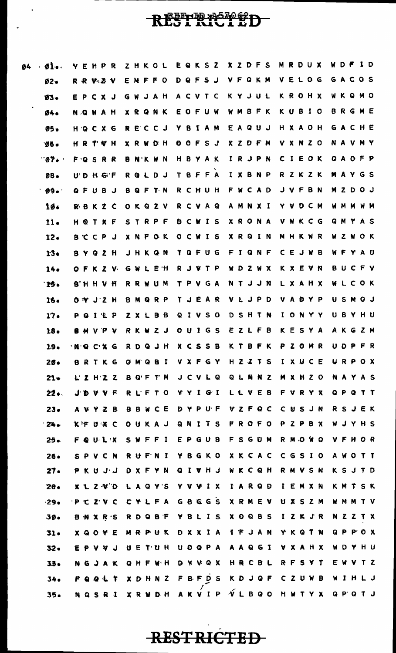## REFERENCED

 $\ddot{\phantom{0}}$ 

| Ø4 | $O1$ .           | YEHPR                      | ZHKOL                                             | EQKSZ                  |                              | <b>XZDFS</b>                  | MRDUX                                   | W D F I D                    |
|----|------------------|----------------------------|---------------------------------------------------|------------------------|------------------------------|-------------------------------|-----------------------------------------|------------------------------|
|    | $Ø2-$            | R R V Z V                  | EMFFO DQFSJ VFQKM                                 |                        |                              |                               | VELOG                                   | GACOS                        |
|    | $93 -$           | EPCXJ                      |                                                   |                        |                              |                               | GWJAH ACVTC KYJUL KROHX                 | WKQMO                        |
|    | 04.              | <b>NOWAH</b>               | X R Q N K E O F U W                               |                        |                              |                               | WMBFK KUBIO                             | BRGME                        |
|    | 05.              | HOCXG                      | RECCJ YBIAM                                       |                        |                              |                               | EAQUJ HXAOH                             | GACHE                        |
|    | 96.              | HRTVH                      |                                                   |                        |                              |                               | X R W D H O O F S J X Z D F M V X N Z O | <b>NAVMY</b>                 |
|    | "Ø7∙             | FQSRR                      | <b>BNKWN</b>                                      |                        |                              |                               | HBYAK IRJPN CIEOK                       | QAOFP                        |
|    | <b>08.</b>       | U'DHGF                     | RQLDJ TBFFA IXBNP                                 |                        |                              |                               | RZKZK                                   | MAYGS                        |
|    | 09.              | QFUBJ                      |                                                   |                        |                              |                               | BQFTN RCHUH FWCAD JVFBN                 | <b>MZDOJ</b>                 |
|    | 10.              | RBKZC                      |                                                   |                        |                              |                               | OKQZV RCVAQ AMNXI YVDCM                 | <b>WMMWM</b>                 |
|    | 11.              | HOTXF                      | STRPF                                             |                        |                              |                               | DCWIS XRONA VWKCG                       | <b>QMYAS</b>                 |
|    | 12.              |                            | B C C P J X N F O K O C W I S X R Q I N M H K W R |                        |                              |                               |                                         | <b>WZWOK</b>                 |
|    | 13.              | <b>BYQZH</b>               |                                                   |                        |                              |                               | JHKQN TQFUG FIQNF CEJWB                 | WFYAU                        |
|    | 14.              |                            | OFKZV GWLEH                                       |                        |                              |                               | R J W T P W D Z W X K X E V N           | BUCFV                        |
|    | `15.             | <b>B'HHVH</b>              |                                                   |                        |                              |                               | RRWUM TPVGA NTJJN LXAHX WLCOK           |                              |
|    | 16.              | $0 \vee J'2 H$             | BMQRP                                             |                        |                              | TJEAR VLJPD                   | VADYP                                   | USMOJ                        |
|    | 17.              | PQILP                      | ZXLBB                                             |                        |                              | QIVSO DSHTN                   | IONYY                                   | UBYHU                        |
|    | 18.              | <b>B M V P V</b>           |                                                   |                        |                              |                               | RKWZJ OUIGS EZLFB KESYA                 | AKGZM                        |
|    | 1.9 <sub>o</sub> | NOCXG                      | RDQJH                                             |                        | <b>XCSSB</b>                 | KTBFK                         | PZOMR                                   | UDPFR                        |
|    | 20.              | G<br>8.                    | в<br>O<br>Q                                       | x<br>v                 | Y<br>G<br>F                  | S<br>H.<br>z<br>-Z            | C<br>E<br>IJ<br>I<br>x.                 | R.<br>O X<br>u<br>-P         |
|    | $21 -$           | Z H Z Z                    | T M<br>8 Q'F                                      |                        | JCVLQ                        | N<br>N<br><b>Z</b><br>Q<br>L. | HZ0<br>M<br>x                           | N<br>A Y<br>A S              |
|    | 22.              | J D<br>v.<br>v<br>F        | <b>RLFTO</b>                                      | Υ                      | YIGI                         | L V E<br>B<br>L               | Y X<br>F<br>v.<br>R                     | Q P<br>$\bf{Q}$<br>TT        |
|    | $23-$            | z.<br>в<br>A V<br>Y.       | C E<br>B<br>B<br>W                                |                        | DYPUF                        | <b>VZFQC</b>                  | $\mathbf c$<br>USJN                     | R<br>E K<br>SJ               |
|    | 24.              | K F U X<br>C               | KAJ<br>O.<br>U                                    | Q<br>N<br>$\mathbf{r}$ | T S                          | R O<br>F O<br>F               | $Z$ $P$<br><b>B</b><br>P<br>X           | YHS<br>W<br>J                |
|    | $25 -$           | U L X<br>F Q               | F<br>F<br>1<br>S.<br>'N.                          | E                      | PGUB                         | SGU<br>F<br>M                 | WQ<br>R.<br>M O                         | H<br>O R<br>v<br>F           |
|    | $26 -$           | v.<br>C<br><b>N</b><br>S P | <b>RUFNI</b>                                      | Y                      | BGKO                         | XKCAC                         | GSIO<br>$\mathsf{C}^-$                  | W<br>$\mathbf 0$<br>TT<br>A  |
|    | $27 -$           | しし<br>P K U                | YN<br>D X F                                       | Q                      | LVHJ                         | <b>WKCQH</b>                  | <b>RMVSN</b>                            | SJTD<br>K.                   |
|    | 28.              | X L Z V D                  | A Q<br>Y S<br>L                                   | Y<br>v v               | $\mathbf{r}$<br>x            | r<br>ARQD                     | E M<br>X N<br>I.                        | KM<br>S K<br>$\mathbf{r}$    |
|    | $-29.$           | Z V<br>-C<br>С             | F<br>- A<br>C.<br>Y L                             | G                      | <b>BGGS</b>                  | <b>XRMEV</b>                  | Z M<br>X S<br>U                         | T V<br>M M<br>м              |
|    | $-30-$           | X R S<br>В.<br>÷V          | B F<br>Q<br>R D                                   | Y                      | BLIS                         | <b>XOQBS</b>                  | I<br>$\mathbf{z}$<br>к<br>J R           | ZZ<br>T X<br>N               |
|    | $31-$            | £<br>X Q<br>Y.<br>O.       | U K<br>M<br>P.<br>R.                              | D                      | XXIA                         | 【下 亅<br>A N                   | T N<br>K Q<br>Y                         | P<br>P.<br>O X<br>Q          |
|    | $32 -$           | E.<br>ν<br>v<br>J<br>P.    | ETUH<br>Ø.                                        |                        | UOQPA                        | A Q G I<br>A.                 | XAHX<br>۷                               | D Y H U<br>W                 |
|    | 33.              | к<br>N<br>G<br>А.          | H F WH<br>Q                                       | D                      | <b>Y V Q X</b>               | HRCBL                         | R F S Y T                               | E.<br>W V<br>T Z             |
|    | 34.              | 91T<br>F<br>$\bullet$      | Z<br>H.<br>X.<br>N<br>D                           | F.                     | <b>8 F D</b><br>$\mathbf{s}$ | <b>KDJQF</b>                  | CZUWB                                   | WIHLJ                        |
|    | 35.              | <b>NQSRI</b>               | <b>X R W D H</b>                                  | A                      | KVIP                         | $V$ $L$ $B$ $Q$ $O$           | HWTYX                                   | $Q \nvert P \nvert Q$<br>T J |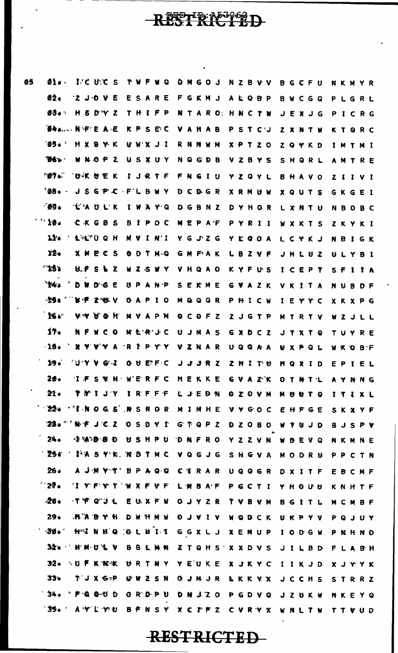| 05 | 01.                                                                                                              | I'CU'ES TWFWQ DMGOJ NZBVV BGCFU                                              |  |           |  |  |  |                   |  |  |                                                     |  |  |              |  | <b>NKMYR</b>   |  |
|----|------------------------------------------------------------------------------------------------------------------|------------------------------------------------------------------------------|--|-----------|--|--|--|-------------------|--|--|-----------------------------------------------------|--|--|--------------|--|----------------|--|
|    | Ø2.                                                                                                              | $2$ JOVE                                                                     |  |           |  |  |  |                   |  |  | ESARE FGKMJ ALQBP BWCGQ                             |  |  |              |  | PLGRL          |  |
|    | ØŠe* H 5 D'Y Z T H I F P N T A R O; H N C T W J E X J G P I C R G                                                |                                                                              |  |           |  |  |  |                   |  |  |                                                     |  |  |              |  |                |  |
|    | <b>BAA NFEAE</b>                                                                                                 |                                                                              |  |           |  |  |  |                   |  |  | <b>KPSEC VAHAB PSTCJ ZXNTW</b>                      |  |  |              |  | KTQRC          |  |
|    | <b>05.</b>                                                                                                       | <b>H X B Y K</b>                                                             |  |           |  |  |  |                   |  |  | UWXJI RNNWM XPTZO ZQ YKD                            |  |  |              |  | IMTMI          |  |
|    | <b>Des</b>                                                                                                       | WNOPZ USXUY NQGDB VZBYS SHQRL AMTRE                                          |  |           |  |  |  |                   |  |  |                                                     |  |  |              |  |                |  |
|    | $-0.7 - 1$                                                                                                       | <b>TOWK UEK IJRTF FNGIU YZQYL BHAVO ZIIVI</b>                                |  |           |  |  |  |                   |  |  |                                                     |  |  |              |  |                |  |
|    | <b>"08. JSGP C FLBWY DCD GR XRMUW XQUTS GKGEI</b>                                                                |                                                                              |  |           |  |  |  |                   |  |  |                                                     |  |  |              |  |                |  |
|    | - 09.                                                                                                            | <b>TAULK IWAY'Q DGBNZ DYHOR LXNTU</b>                                        |  |           |  |  |  |                   |  |  |                                                     |  |  |              |  | <b>NBOBC</b>   |  |
|    | 10.4                                                                                                             | CKGBS                                                                        |  |           |  |  |  |                   |  |  | BIPOC NEPAF PYRII WXKTS                             |  |  |              |  | ZKYKI          |  |
|    | 11.                                                                                                              | A LALTUQH                                                                    |  | M A I M.I |  |  |  |                   |  |  | Y G J Z G Y L Q O A L C Y K J                       |  |  |              |  | NBIGK          |  |
|    | 12.                                                                                                              | <b>XMECS</b>                                                                 |  |           |  |  |  |                   |  |  | <b>ODTMQ GMFAK LBZVF</b>                            |  |  | <b>JHLUZ</b> |  | ULYBI          |  |
|    | $\mathbf{B}$                                                                                                     | <b>せよう アイス</b>                                                               |  |           |  |  |  | WZSWY VHQAO KYFUS |  |  |                                                     |  |  | ICEPT SFIIA  |  |                |  |
|    | 14.1                                                                                                             | <b>DWOGE</b>                                                                 |  |           |  |  |  |                   |  |  | UPANP SEKME GVAZK VKITA NUBDF                       |  |  |              |  |                |  |
|    |                                                                                                                  |                                                                              |  |           |  |  |  |                   |  |  | GAPIO MQQQR PHICW IEYYC XKXPG                       |  |  |              |  |                |  |
|    | 16.                                                                                                              | A A A A A                                                                    |  |           |  |  |  |                   |  |  | MVAPM QCOFZ ZJGTP MTRTV WZJLL                       |  |  |              |  |                |  |
|    | 17.                                                                                                              | N F W C O M E R'J C                                                          |  |           |  |  |  |                   |  |  | U J M A S G X D C Z J T X T Q                       |  |  |              |  | TUYRE          |  |
|    | 18. ` X Y V Y A `R I P Y Y V Z N A R U Q Q A A  U X P Q L  W K O B F                                             |                                                                              |  |           |  |  |  |                   |  |  |                                                     |  |  |              |  |                |  |
|    | 19.                                                                                                              |                                                                              |  |           |  |  |  |                   |  |  |                                                     |  |  | MQXID EPIEL  |  |                |  |
|    | 20.                                                                                                              | 'I F S V H WERFC HEKKE G V A Z K O T N T L A Y N N G                         |  |           |  |  |  |                   |  |  |                                                     |  |  |              |  |                |  |
|    | 21.                                                                                                              | <b>ΤΜΙJ'Y ΙRFFF LJEDN ΟΖΟVΜ ΜΘΘΤΟ</b>                                        |  |           |  |  |  |                   |  |  |                                                     |  |  |              |  | ITIXL          |  |
|    | $22 -$                                                                                                           | <b>ALL AND G S AND R OR M I MH E V Y G O C</b>                               |  |           |  |  |  |                   |  |  |                                                     |  |  | EHFGE        |  | SKXYF          |  |
|    | $23$ $\bullet$ $^{\circ}$ ) we jet a service that a service is the service of a service service $\bullet$<br>24. |                                                                              |  |           |  |  |  |                   |  |  |                                                     |  |  |              |  | <b>BJSPV</b>   |  |
|    | <b>Σ5ε</b>                                                                                                       | <b>DIADBOUSHPU DAFRO YZZVN WBEVQ</b><br>$\%$ MASY'R. WBTMC VQGJG SHGVA MODRU |  |           |  |  |  |                   |  |  |                                                     |  |  |              |  | NKMNE          |  |
|    | 26.                                                                                                              | A J M V T' B P A Q Q C T R A R U Q Q G R D X I T F                           |  |           |  |  |  |                   |  |  |                                                     |  |  |              |  | PPCTN          |  |
|    | 27.                                                                                                              | "I Y'F'Y'T 'W X F V F L M B A'F P G C T I Y H O U U                          |  |           |  |  |  |                   |  |  |                                                     |  |  |              |  | EBCMF<br>KNHTF |  |
|    | .28.                                                                                                             | <b>. ተ ሞ Q 3 L</b>                                                           |  |           |  |  |  |                   |  |  | EUXFW OUYZR TVBVM BGITL                             |  |  |              |  | MCMBF          |  |
|    | 29 <sub>0</sub>                                                                                                  | A A B Y H D W H M W O J V I V W Q D C K U K P Y V                            |  |           |  |  |  |                   |  |  |                                                     |  |  |              |  | PQJUY          |  |
|    | 30.                                                                                                              | HAINHO OLHII GGXLJ XEMUP IODGW                                               |  |           |  |  |  |                   |  |  |                                                     |  |  |              |  | PNHNĐ          |  |
|    | $32 - 1$                                                                                                         | <b>HMOLV</b>                                                                 |  |           |  |  |  |                   |  |  | B B L M N Z T Q H S ' X X D V S J I L B D F L A B H |  |  |              |  |                |  |
|    | $32 -$                                                                                                           | ∿UFK WK                                                                      |  |           |  |  |  |                   |  |  | URTNY YEUKE XJKYC IIKJD XJYYK                       |  |  |              |  |                |  |
|    | 33.                                                                                                              | TJXGP                                                                        |  | UWZSN     |  |  |  |                   |  |  | <b>QUMUR LKKYX JCCHS</b>                            |  |  |              |  | STRRZ          |  |
|    | OUD-DORY ALC                                                                                                     |                                                                              |  |           |  |  |  |                   |  |  | GR'D'PU DNJZO PGDVQ JZUKW                           |  |  |              |  | NKEYQ          |  |
|    | '35.' A Y'L YN BFNSY XC MFZ CVRYX UNITH TTVHD                                                                    |                                                                              |  |           |  |  |  |                   |  |  |                                                     |  |  |              |  |                |  |

RESTRANCED

 $\ddot{\phantom{a}}$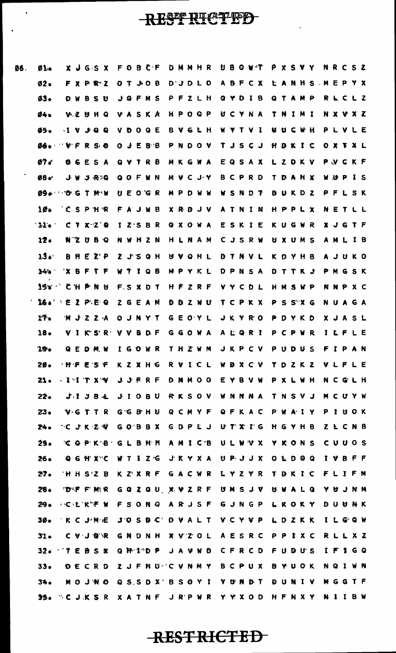06

 $\ddot{\phantom{0}}$ 

 $\ddot{\phantom{0}}$ 

| 5. | 01                                      |              | X J G S X                                                         | FOBCF     |  |                     |  | DMMHR                                           |  |           |       |  | UBOWT     |                                 | P X S V Y    |  |              |  | NRCSZ        |  |
|----|-----------------------------------------|--------------|-------------------------------------------------------------------|-----------|--|---------------------|--|-------------------------------------------------|--|-----------|-------|--|-----------|---------------------------------|--------------|--|--------------|--|--------------|--|
|    | $02 -$                                  |              | F X P R Z                                                         |           |  | Q T J H Q B         |  | $D^{\dagger}J^{\dagger}D^{\dagger}L^{\dagger}O$ |  |           | ABFCX |  |           |                                 |              |  | LANHS MEPYX  |  |              |  |
|    | Ø3.                                     | D W          | BSU                                                               |           |  | JQFMS               |  |                                                 |  | PFZLH     |       |  |           | G Y D I B                       |              |  | QTAMP        |  | RLCLZ        |  |
|    | 04.                                     |              | <b>VZUHQ</b>                                                      |           |  | <b>VASKA</b>        |  |                                                 |  | H P O Q P |       |  |           | UCYNA TNIMI                     |              |  |              |  | N X V X Z    |  |
|    | <b>45.</b>                              |              | $\bullet$ $\bullet$ $\bullet$ $\bullet$ $\bullet$                 |           |  | <b>VDOGE</b>        |  | <b>BVGLH</b>                                    |  |           | WYTVI |  |           |                                 | <b>ANCAH</b> |  |              |  | PLVLE        |  |
|    | <b>ØG. VFRSO</b>                        |              |                                                                   |           |  | O J E B B           |  |                                                 |  | PNDOV     |       |  |           | T J S C J H D K I C             |              |  |              |  | OXTXL        |  |
|    | 07 <sub>5</sub>                         |              | <b>06ESA</b>                                                      |           |  | Q V T R B           |  | MKGWA                                           |  |           |       |  |           | E Q S A X L Z D K V             |              |  |              |  | PVCKF        |  |
|    | <b>Ø8</b>                               |              | JW JRXQ                                                           |           |  | QOFWN               |  |                                                 |  |           |       |  |           | MVCJY BCPRD TDAHX               |              |  |              |  | WUPIS        |  |
|    | <b>09. OGT MIN UEOGR</b>                |              |                                                                   |           |  |                     |  | MPDWW                                           |  |           |       |  |           | WSNDT                           |              |  | <b>BUKDZ</b> |  | PFLSK        |  |
|    | 10 <sub>1</sub>                         |              | <b>CSPHR</b>                                                      |           |  | FAJWB               |  | <b>XRDJV</b>                                    |  |           |       |  |           | ATNIN                           |              |  | HPPLX        |  | NETLL        |  |
|    | 11.                                     |              | C F X Z Q                                                         |           |  | IZSBR               |  | QXOWA                                           |  |           |       |  |           | ESKIE                           |              |  | KUGWR        |  | <b>XJGTF</b> |  |
|    | 12 <sub>o</sub>                         |              | <b>NZUBQ</b>                                                      |           |  | NWHZN               |  | HLNAM                                           |  |           |       |  |           | <b>CJSRW</b>                    | <b>UXUMS</b> |  |              |  | AMLIB        |  |
|    | 134                                     |              | <b>B H E Z P</b>                                                  |           |  | $2$ $J$ $S$ $Q$ $H$ |  | UVQHL                                           |  |           |       |  | DTNVL     |                                 | K D Y H B    |  |              |  | A J U K O    |  |
|    | 14 <sub>0</sub>                         |              | XBFTF                                                             |           |  | WTIQB               |  |                                                 |  | MPYKL     |       |  |           | D P N S A D T T K J             |              |  |              |  | PMGSK        |  |
|    | 15 Y                                    |              | CHPNU                                                             |           |  | <b>FSXDT</b>        |  | <b>HFZRF</b>                                    |  |           |       |  | VYCDL     |                                 |              |  | HMSWP        |  | <b>NNPXC</b> |  |
|    | <b>IGA' EZPEQ</b>                       |              |                                                                   |           |  | <b>ZGEAM</b>        |  | <b>DDZWU</b>                                    |  |           |       |  |           | TCPKX PSSXG                     |              |  |              |  | <b>NUAGA</b> |  |
|    | 17.                                     | <b>MJZZA</b> |                                                                   |           |  | <b>OJNYT</b>        |  | GEOYL                                           |  |           |       |  | J K Y R O |                                 | PDYKD        |  |              |  | XJASL        |  |
|    | 18.                                     |              | VIKSR VVBDF                                                       |           |  |                     |  |                                                 |  |           |       |  |           | GGOWA ALQRI PCPWR               |              |  |              |  | ILFLE        |  |
|    | 19.                                     |              | G E D M W                                                         | I G O W R |  |                     |  |                                                 |  | THZWM     |       |  |           | JKPCV PUDUS                     |              |  |              |  | FIPAN        |  |
|    | 20.                                     |              | <b>AMPESF KZXHG RVICL WDXCV TDZKZ VLFLE</b>                       |           |  |                     |  |                                                 |  |           |       |  |           |                                 |              |  |              |  |              |  |
|    | 21.                                     |              | - ENT TX WI JUFRE D M MOO E Y B V WI P X L WH IN C G L H          |           |  |                     |  |                                                 |  |           |       |  |           |                                 |              |  |              |  |              |  |
|    | $22 -$                                  |              | J'I J B & J I O B U R K S O V W N N N A T N S V J M C U Y W       |           |  |                     |  |                                                 |  |           |       |  |           |                                 |              |  |              |  |              |  |
|    | $23 -$                                  |              | VGTTR GGBHU QCMYF QFKAC PWAIY PIUOK                               |           |  |                     |  |                                                 |  |           |       |  |           |                                 |              |  |              |  |              |  |
|    | 24.                                     |              | ~C J K Z ♥  G O B B X  G D P L J  U T X I G  H G Y H B  Z L C N B |           |  |                     |  |                                                 |  |           |       |  |           |                                 |              |  |              |  |              |  |
|    | 25.                                     |              | <b>COPKB-GLBHH AMICB ULWVX YKONS CUUOS</b>                        |           |  |                     |  |                                                 |  |           |       |  |           |                                 |              |  |              |  |              |  |
|    | 26.                                     |              | <b>QGHX"C WTIZ'G JKYXA UPJJX OLDOQ IVBFF</b>                      |           |  |                     |  |                                                 |  |           |       |  |           |                                 |              |  |              |  |              |  |
|    | $27 -$                                  |              | HHSZB                                                             |           |  |                     |  |                                                 |  |           |       |  |           | K Z'XRF GACWR LYZYR TDKIC FLIFM |              |  |              |  |              |  |
|    | $28 -$                                  |              | <b>TORF FIMIR GQZQU XVZRF UMSJV UWALQ YUJNM</b>                   |           |  |                     |  |                                                 |  |           |       |  |           |                                 |              |  |              |  |              |  |
|    | 29∙                                     |              | △C·L`K`* W F S O N Q  A R J S F  G J N G P  L K O K Y  D U U N K  |           |  |                     |  |                                                 |  |           |       |  |           |                                 |              |  |              |  |              |  |
|    | $30-$                                   |              | 'K C J M E J O S D C D V A L T Y C Y V P L D Z K K I L G Q W      |           |  |                     |  |                                                 |  |           |       |  |           |                                 |              |  |              |  |              |  |
|    | $31 -$                                  |              | C V J @ R G N D N H X V Z O L A E S R C P P I X C R L L X Z       |           |  |                     |  |                                                 |  |           |       |  |           |                                 |              |  |              |  |              |  |
|    | 32. TEBSX QPIDP JAVWD CFRCD FUDUS IFIGQ |              |                                                                   |           |  |                     |  |                                                 |  |           |       |  |           |                                 |              |  |              |  |              |  |
|    | 33.                                     |              | DECRD ZJFHU CVNMY BCPUX BYUOK                                     |           |  |                     |  |                                                 |  |           |       |  |           |                                 |              |  |              |  | <b>NQIWN</b> |  |
|    | 34.                                     |              | MOJNO QSSDX'BSOYI YUMDT DUNIV                                     |           |  |                     |  |                                                 |  |           |       |  |           |                                 |              |  |              |  | MGGTF        |  |
|    | 35. CJKSR XATNF JRPWR YYXOD HFNXY NIIBW |              |                                                                   |           |  |                     |  |                                                 |  |           |       |  |           |                                 |              |  |              |  |              |  |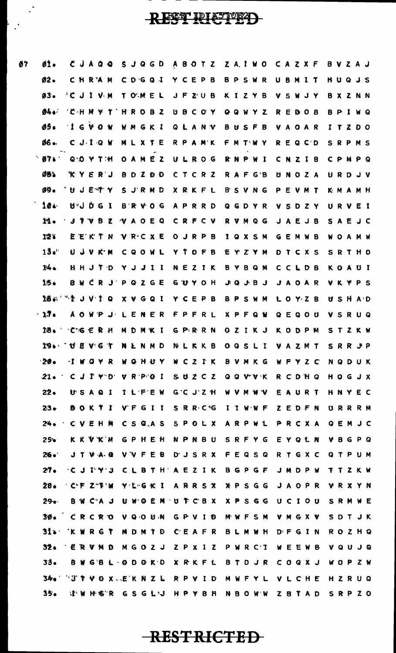$\vdash$  .

 $\frac{1}{2}$ 

| 01.             | CJAQQ                                                    | 5JQGD             |                  | A B O T Z Z A I W O C A Z X F |                                                                       | BVZAJ        |
|-----------------|----------------------------------------------------------|-------------------|------------------|-------------------------------|-----------------------------------------------------------------------|--------------|
| の2 -            | CHRAM                                                    | CDGQ1             | <b>YCEPB</b>     | BPSWR                         | UBMIT                                                                 | HUQJS        |
| Ø3.             | $^{\wedge}$ C J I V M                                    | TOMEL             | JFZUB            | KIZYB                         | VSWJY                                                                 | BXZNN        |
| <b>04.</b>      | 'C H M Y T                                               | HROBZ             | UBCOY            | QQWYZ                         | <b>REDOB</b>                                                          | BPIWQ        |
| <b>05.</b>      | I G V O W                                                | WMGKI             | <b>QLANV</b>     | <b>BUSFB</b>                  | VAOAR                                                                 | ITZDO        |
| Ø6.             | CJIQW                                                    | MLXTE             | RPAMK            | F M T W Y                     | REQCD                                                                 | SRPMS        |
| <b>07.</b>      | $9.0$ Y T:H                                              | OAMEZ             | ULROG            | RNPWI                         | CNZIB                                                                 | <b>CPMPQ</b> |
| のきる             | <b>KYERJ</b>                                             | <b>BDZDD</b>      | CTCRZ            | RAFG'B                        | UNOZA                                                                 | URDJV        |
| Ø9.             | UJETY                                                    | SJRMD             | XRKFL            | <b>B'SVNG</b>                 | PEVMT                                                                 | KMAMH        |
| 104             | UJDGI                                                    | <b>BRVOG</b>      | APRRD            | QGDYR                         | VSDZY                                                                 | URVEI        |
| 11.             | <b>JTVBZ</b>                                             | VAOEQ             | CRFCV            | <b>RVMQG</b>                  | JAEJB                                                                 | SAEJC        |
| 12.             | EEKTN                                                    | VRCXE             | <b>O J R P B</b> | <b>1 Q X S M</b>              | <b>GEMWB</b>                                                          | <b>WOAMW</b> |
| 13.             | UJVK'M                                                   | CQOWL             | Y T O F B        | EYZYM                         | DTCXS                                                                 | <b>SRTHO</b> |
| 14.             | HHJTD                                                    | YJJII             | NEZIK            | <b>BYBQM</b>                  | CCLDB                                                                 | KOAUI        |
| 156             |                                                          | <b>BWCRJPQZGE</b> | <b>GUYOH</b>     | <b>JQJBJ</b>                  | <b>JAOAR</b>                                                          | <b>VKYPS</b> |
|                 | 18. 18                                                   | X V G Q 1         | YCEPB            | BPSWM                         | LOYZB                                                                 | USHAD        |
| $-17.$          | A O W P J                                                | LENER             | FPFRL            | <b>XPFQW</b>                  | QEQOU                                                                 | VSRUQ        |
| 18.             | <b>C G E R H</b>                                         | MDMKI             | GPRRN            | <b>OZIKJ</b>                  | K O D P M                                                             | STZKW        |
|                 | 19. U E V G T                                            | NLNMD             | NLKKB            | OQSLI VAZMT                   |                                                                       | SRRJP        |
| $20 -$          | $\mathbf{I} \mathbf{W} \mathbf{G} \mathbf{Y} \mathbf{R}$ |                   |                  |                               | WOHUY WCZIK BVMKG WFYZC                                               | NQDUK        |
|                 |                                                          |                   |                  |                               | 21. CJIY D VRPOI SUZCZ QQVVK RCDHQ HOGJX                              |              |
| $22 -$          |                                                          |                   |                  |                               | USAQI ILFEW G'CJ'ZH WVMW'V EAURT HNYEC                                |              |
| $23 -$          |                                                          |                   |                  |                               | BOKTI VFGII SRRC <sup>®</sup> G I I W'WF ZEDFN URRRM                  |              |
|                 |                                                          |                   |                  |                               | 24. CVEHM CSQAS SPOLX ARPWL PRCXA QEMJC                               |              |
| 25 <sub>b</sub> |                                                          |                   |                  |                               | K K V K M G P H E H N P N B U S R F Y G E Y Q L N                     | <b>VBGPQ</b> |
| 26.             |                                                          |                   |                  |                               | JTVA @ VVFEB DJSRX FEQSQ RTGXC QTPUM                                  |              |
| 27 <sub>o</sub> |                                                          |                   |                  |                               | → C J I Y J C L B T H ' A E Z I K ' B G P G F ' J M D P W ` T T Z K W |              |
| 28.             |                                                          |                   |                  |                               | 'C'FZ""W Y'L'GKI ARRSX XPSGG JAOPR                                    | <b>VRXYN</b> |
| $29 -$          |                                                          |                   |                  |                               | B W C'A J U W O E M 'U T C B X X P S G G U C I O U                    | SRMWE        |
|                 |                                                          |                   |                  |                               | 30. CRCRO VQOUN GPVID MWFSM VMGXV                                     | SDTJK        |
|                 |                                                          |                   |                  |                               | 31. KWRGT MDMTD CEAFR BLMWH DFGIN ROZHQ                               |              |
|                 |                                                          |                   |                  |                               | 32. ERVMD MGOZJ ZPXIZ PWRCT WEEWB                                     | VQUJQ        |
| 33.             |                                                          |                   |                  |                               | B W G B L - @ D @ K D X R K F L B T D J R C O Q X J W O P Z W         |              |
|                 |                                                          |                   |                  |                               | 340 'UTPVOX EKNZL RPVID MWFYL VLCHE                                   | HZRUQ        |
| $35 -$          |                                                          |                   |                  |                               |                                                                       |              |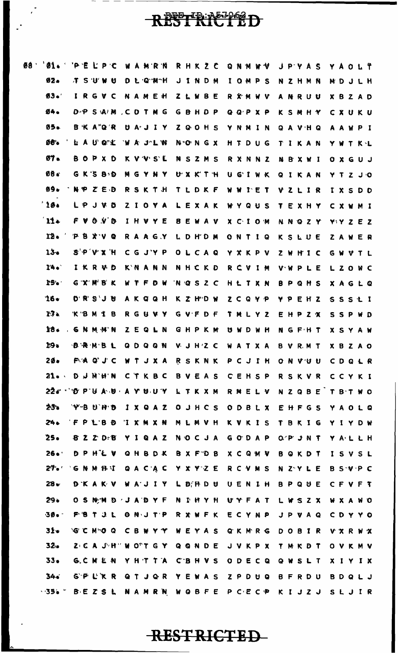### RESTRACTED

 $\ddot{\cdot}$ 

 $\ddot{\cdot}$ 

| Ø8 | Øi.        | 'P.<br>١Ē<br>Ľ.<br>P<br>-c                   | <b>MRM</b><br>W  | R H K Z<br>C                    | Q<br>N M<br>-V<br>v | P'Y A<br>Ŝ<br>J                                   | A<br>OLŤ<br>Y. |
|----|------------|----------------------------------------------|------------------|---------------------------------|---------------------|---------------------------------------------------|----------------|
|    | 92.        | S'U'W<br>$\mathbf r$<br>-tj                  | L Q M H<br>Ð     | J<br>INDM                       | <b>I OMPS</b>       | N<br>ZHMN                                         | DJLH<br>M      |
|    | $03 -$     | R<br>G.<br>v<br>c                            | <b>AMEH</b><br>N | В<br>Z.<br>L W<br>E             | R X M W V           | <b>A N R U U</b>                                  | XBZAD          |
|    | 04.        | D P<br>SAM                                   | COTM<br>G        | G<br><b>BHDP</b>                | GQPXP               | KSMHY                                             | CXUKU          |
|    | 05.        | <b>B K A Q R</b>                             | <b>UAJIY</b>     | $\mathbf{z}$<br>QOHS            | YNNIN               | Q A V H Q                                         | AAWPI          |
|    | Ø6.        | AUCL<br>₩.                                   | 'N.<br>A J'LW    | NONGX                           | HTDUG               | TIKAN                                             | YWTKL          |
|    | Ø7.        | В.<br>$\bullet$<br>P.<br>X D                 | K V V S L        | NSZMS                           | RXNNZ               | <b>NBXWI</b>                                      | 0 X G U J      |
|    | Ø8 c       | GKSBD                                        | M<br>G Y N Y     | UXKTH                           | UGIWK               | <b>QIKAN</b>                                      | YTZJO          |
|    | Ø9.        | $Z$ $E$ $D$<br>N P                           | RSKTH            | TLDKF                           | <b>WWIET</b>        | VZLIR                                             | IXSDD          |
|    | 10.1       | $J$ $V$ $D$<br>L P                           | ZIOYA            | LEXAK                           | WYQUS               | TEXHY                                             | CXWMI          |
|    | 11.        | O V D<br>f V                                 | IHVYE            | <b>BEWAV</b>                    | X C I O M           | <b>NNQZY</b>                                      | YYZEZ          |
|    | 12.        | <b>P B X V</b><br>Q                          | RAAGY            | LDH'DM                          | ONTIQ               | KSLUE                                             | ZAWER          |
|    | $13 -$     | $S'$ P $V$ X H                               | CG J'Y P         | OLCAQ                           | Y X K P V           | Z W H I C                                         | GWVTL          |
|    | 14.        | IKRVD                                        | K'N A N N        | NHCKD                           | RCVIM               | <b>VWPLE</b>                                      | LZOWC          |
|    | 15.        | G'X'M'B'K                                    | W T F<br>D M     | <b>NGSZC</b>                    | HLTXN               | <b>BPQHS</b>                                      | XAGLQ          |
|    | $16-$      | <b>D'R'S'J U</b>                             | AKQQH            | K Z H"D W                       | ZCQYP               | <b>YPEHZ</b>                                      | SSStI          |
|    | 17.        | KBMIB                                        | <b>RGUVY</b>     | GVFDF                           | TMLYZ               | EHPZX                                             | SSPWD          |
|    | 18.        | <b>GNMMW</b>                                 | ZEQLN            | GHPKM                           | UWDWH               | NGFHT                                             | <b>XSYAW</b>   |
|    | 19.        | <b>DRMBL</b>                                 | Q<br>DQQN        | VJHZC                           | WATXA               | <b>B V R M T</b>                                  | X B Z A O      |
|    | $20 -$     |                                              |                  | FA Q'JC WTJXA RSKNK PCJIH       |                     | ONVUU CDQLR                                       |                |
|    |            | 21. DJNHN CTKBC BVEAS CENSP                  |                  |                                 |                     | <b>RSKVR</b>                                      | CCYKI          |
|    |            | 226 ' O P U A U A Y U U Y L T K X M          |                  |                                 | RNELV               | NZQBE TBTWO                                       |                |
|    | 23.        | YBUHD                                        |                  | IXQAZ OJHCS                     | <b>ODBLX</b>        | EHFGS YAOLQ                                       |                |
|    | 24.        | 'F P L'B D 'I X M X N M L M V H              |                  |                                 | KVKIS               | TBKIG YIYDW                                       |                |
|    | 25.        |                                              |                  | <b>8ZZDB YIQAZ NOCJA</b>        | GODAP               | OPJNT YALLH                                       |                |
|    | $26 \cdot$ | DPHEV                                        |                  | GHBDK BXFTDB                    | <b>XCQMV</b>        | BOKDT                                             | ISVSL          |
|    |            | 27. 'G N M B I Q A C A C Y X Y Z E           |                  |                                 | R C V M S           | N Z Y L E B S V P C                               |                |
|    | $28 -$     |                                              |                  | <b>DKAKV WAJIY LDFRDU</b>       | UENIH               | <b>BPQUE CFVFT</b>                                |                |
|    | 29.        |                                              |                  | OSNM D JADYF N DHYH             | UYFAT               | LWSZX                                             | <b>WXAWO</b>   |
|    | 30.        | <b>FBT J L O N J T P R X W F K E C Y N P</b> |                  |                                 |                     | J P V A Q                                         | CDYYO          |
|    | $31-$      |                                              | GCMGQ CBWYY      | WEYAS                           | GKMRG               | D O B I R                                         | <b>VXRWX</b>   |
|    | $32 -$     |                                              |                  | Z C A J H " W O T G Y Q Q N D E | <b>JVKPX</b>        | T M K D T                                         | OVKMV          |
|    | $33 -$     |                                              |                  | G.C.M.E.N. YHTTA CBHVS          |                     | O D E C Q Q W S L T                               | XIYIX          |
|    | 34.7       |                                              |                  | GP L'KR QT J Q R Y E WAS        |                     | ZPDUQ BFRDU                                       | <b>BDQLJ</b>   |
|    |            |                                              |                  |                                 |                     | <b>1956 - BEZSL NAMRN WOBFE PCECP KIJZJ SLJIR</b> |                |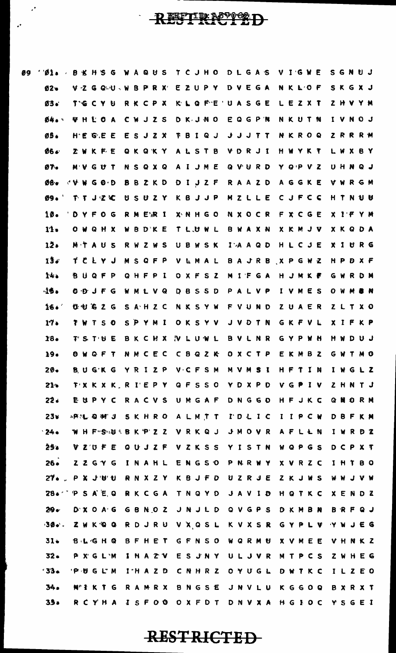### RESTRETTED

09

 $\ddot{\phantom{a}}$ 

 $\hat{\mathcal{P}}$ 

| B1                                 | 8                                                           | H | `S  | G | W | A | $Q$ $U$ |              | <b>S</b>     | T                 | -C | J H O        |              | D L          | G | A S |                                | v | I G              | N | E         | S. | G | N.                   | も つ |  |
|------------------------------------|-------------------------------------------------------------|---|-----|---|---|---|---------|--------------|--------------|-------------------|----|--------------|--------------|--------------|---|-----|--------------------------------|---|------------------|---|-----------|----|---|----------------------|-----|--|
| $02 -$                             | VZGQUWBPRX                                                  |   |     |   |   |   |         |              |              | E                 |    | ZUPY         |              | DVEGA        |   |     |                                |   | NKLOF            |   |           |    |   | SKGXJ                |     |  |
| Ø3.                                | TGCYU                                                       |   |     |   |   |   |         | RKCPX        |              |                   |    |              | K L Q F E    | UASGE        |   |     |                                |   | LEZXT            |   |           |    |   | <b>Z H V Y M</b>     |     |  |
| Ø4. ·                              | <b>VHLOA</b>                                                |   |     |   |   |   |         |              | CWJZS        |                   |    | DKJNO        |              | EQGPN        |   |     |                                |   | NKUTN            |   |           |    |   | <b>L V N O J</b>     |     |  |
| <b>05.</b>                         | H.E G.E E                                                   |   |     |   |   |   |         |              | ESJZX        |                   |    |              | <b>TBIQJ</b> |              |   |     | <b>JJJTT</b>                   |   | <b>NKROQ</b>     |   |           |    |   | <b>ZRRRM</b>         |     |  |
| 06.                                | ZWKFE                                                       |   |     |   |   |   |         |              |              | QKQKY ALSTB       |    |              |              |              |   |     | V D R J I H W Y K T            |   |                  |   |           |    |   | LWXBY                |     |  |
| 07.                                | M V                                                         |   | GUT |   |   |   |         |              | N S Q X Q    |                   |    |              | A I J M E    | QVURD        |   |     |                                |   |                  |   | Y Q P V Z |    |   | UHNQJ                |     |  |
| 08.                                | VWGOD                                                       |   |     |   |   |   |         |              | <b>BBZKD</b> |                   |    |              | DIJZF RAAZD  |              |   |     |                                |   | AGGKE            |   |           |    |   | <b>VWRGM</b>         |     |  |
| Ø9.                                | アキコマに                                                       |   |     |   |   |   |         |              | USUZY        |                   |    |              |              |              |   |     | K B J J P M Z L L E C J F C C  |   |                  |   |           |    |   | HTNUM                |     |  |
| 10.                                | D Y F O G                                                   |   |     |   |   |   |         | R M E'R I    |              |                   |    | X N H G O    |              |              |   |     | N X O C R F X C G E            |   |                  |   |           |    |   | X I F Y M            |     |  |
| 11.                                | OWQHX                                                       |   |     |   |   |   |         | WBDKE        |              |                   |    | T L.U W L    |              | BWAXN        |   |     |                                |   | <b>X K M J V</b> |   |           |    |   | <b>XKQDA</b>         |     |  |
| 12.                                | MTAUS                                                       |   |     |   |   |   |         | RWZWS        |              |                   |    | UBWSK        |              | $I^*A A Q D$ |   |     |                                |   | HLCJE            |   |           |    |   | XIURG                |     |  |
| 13.4                               | ブとレYJ                                                       |   |     |   |   |   |         | <b>MSQFP</b> |              |                   |    | VEMAL        |              |              |   |     | <b>BAJRB XPGWZ</b>             |   |                  |   |           |    |   | HPDXF                |     |  |
| 14.                                | BUQFP                                                       |   |     |   |   |   |         | QHFPI        |              |                   |    | OXFSZ        |              | MIFGA        |   |     |                                |   | HJMKF            |   |           |    |   | <b>GWRDM</b>         |     |  |
| $-15.$                             | 0.0 J F G                                                   |   |     |   |   |   |         | WMLVQ        |              |                   |    | <b>DBSSD</b> |              | PALVP        |   |     |                                |   | IVMES            |   |           |    |   | <b>0 W M &amp; M</b> |     |  |
| 164 <sup>2</sup>                   | <b>UUGZG</b>                                                |   |     |   |   |   |         |              | SAHZC        |                   |    |              | NKSYW        | FVUND        |   |     |                                |   | ZUAER            |   |           |    |   | Z L T X O            |     |  |
| 17.                                | TWTSO                                                       |   |     |   |   |   |         |              | SPYMI        |                   |    |              | OKSYV        |              |   |     | JVDTN GKFVL                    |   |                  |   |           |    |   | X I F K P            |     |  |
| 18.                                | TSTUE                                                       |   |     |   |   |   |         |              |              | BKCHX VLUWL       |    |              |              | BVLNR        |   |     |                                |   | <b>GYPWH</b>     |   |           |    |   | HWDUJ                |     |  |
| 19.                                | <b>OWQFT</b>                                                |   |     |   |   |   |         |              |              | NMCEC CBQZK       |    |              |              | OXCTP        |   |     |                                |   | EKMBZ            |   |           |    |   | <b>GWTMO</b>         |     |  |
| $20 -$                             | BUGKG YRIZP VCFSM MVMSI                                     |   |     |   |   |   |         |              |              |                   |    |              |              |              |   |     |                                |   |                  |   | HFTIN     |    |   | IWGLZ                |     |  |
| $21-$                              | TX K X K R I E P Y Q F S S O Y D X P D V G P I V            |   |     |   |   |   |         |              |              |                   |    |              |              |              |   |     |                                |   |                  |   |           |    |   | ZHNTJ                |     |  |
| 22.                                | EUPYC RACVS UMGAF DNGGO HF JKC QNORM                        |   |     |   |   |   |         |              |              |                   |    |              |              |              |   |     |                                |   |                  |   |           |    |   |                      |     |  |
| 23v                                | <b>APIL Q M J</b>                                           |   |     |   |   |   |         |              |              |                   |    |              |              |              |   |     | SKHRO ALMTT IDLIC IIPCW        |   |                  |   |           |    |   | DBFKM                |     |  |
| 24.                                | "WHF"S"NUSBK"P Z Z VRKQJ JMOVR AFLLN                        |   |     |   |   |   |         |              |              |                   |    |              |              |              |   |     |                                |   |                  |   |           |    |   | I W R D Z            |     |  |
| 25.                                | VZUFE                                                       |   |     |   |   |   |         |              |              |                   |    |              |              |              |   |     | <b>QUJZF VZKSS YISTN WQPGS</b> |   |                  |   |           |    |   | DCPXT                |     |  |
| $26 -$                             | <b>ZZGYG</b>                                                |   |     |   |   |   |         |              |              |                   |    |              |              |              |   |     | INAHL ENGSO PNRWY XVRZC        |   |                  |   |           |    |   | IHTBO                |     |  |
| 27. PX JUU RNXZY KBJFD UZRJE ZKJWS |                                                             |   |     |   |   |   |         |              |              |                   |    |              |              |              |   |     |                                |   |                  |   |           |    |   | <b>WWJVW</b>         |     |  |
| 28. PSAEO RKCGA TNQYD JAVID HOTKC  |                                                             |   |     |   |   |   |         |              |              |                   |    |              |              |              |   |     |                                |   |                  |   |           |    |   | <b>XENDZ</b>         |     |  |
| $29 -$                             | D X O A G G B N O Z J N J L D Q V G P S D K M B N           |   |     |   |   |   |         |              |              |                   |    |              |              |              |   |     |                                |   |                  |   |           |    |   | <b>BRFQJ</b>         |     |  |
| 30.                                | Z W K & Q R D J R U V X Q S L K V X S R G Y P L V           |   |     |   |   |   |         |              |              |                   |    |              |              |              |   |     |                                |   |                  |   |           |    |   | YWJEG                |     |  |
| $31+$                              | <b>BLGHQ</b>                                                |   |     |   |   |   |         |              | <b>BFHET</b> |                   |    |              | G F N S O    | <b>WQRMU</b> |   |     |                                |   | XVMEE            |   |           |    |   | <b>VHNKZ</b>         |     |  |
| $32 -$                             | PXGLM IHAZV ESJNY ULJVR MTPCS                               |   |     |   |   |   |         |              |              |                   |    |              |              |              |   |     |                                |   |                  |   |           |    |   | ZWHEG                |     |  |
| 33.                                | PUGLM IHAZD CNHRZ OYUGL                                     |   |     |   |   |   |         |              |              |                   |    |              |              |              |   |     |                                |   |                  |   | DWTKC     |    |   | ILZEO                |     |  |
| 34.                                | <b>N"IKTG</b>                                               |   |     |   |   |   |         |              |              | RAMRX BNGSE JNVLU |    |              |              |              |   |     |                                |   |                  |   | KGGOQ     |    |   | BXRXT                |     |  |
| 35.                                | R C Y H A I S F O O O X F D T D N V X A H G I O C Y S G E I |   |     |   |   |   |         |              |              |                   |    |              |              |              |   |     |                                |   |                  |   |           |    |   |                      |     |  |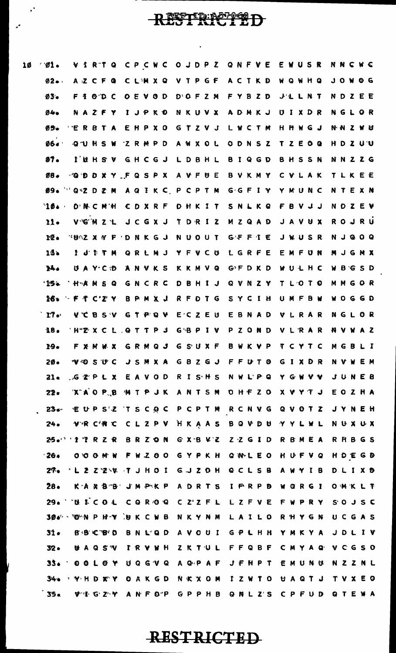| $\emptyset$ 1.  | VIRTQ CPCWC OJDPZ QNFVE EWUSR NNCWC                                        |                                                             |  |                               |  |
|-----------------|----------------------------------------------------------------------------|-------------------------------------------------------------|--|-------------------------------|--|
| $02 - 1$        |                                                                            | AZCFQ CLMXQ VTPGF ACTKD WQWHQ JOWOG                         |  |                               |  |
| $03 -$          |                                                                            | FIOD C OEVOD DOFZM FYBZD J'LLNT NDZEE                       |  |                               |  |
| 94.             |                                                                            | NAZFY IJPKO NKUVX ADMKJ UIXDR NGLOR                         |  |                               |  |
| グラー             | <b><i>'ERBTA EHPXO GTZVJ LWCTM HHWGJ NNZWU</i></b>                         |                                                             |  |                               |  |
|                 | Ø6. QUHSW ZRMPD AWXOL ODNSZ TZEOQ HDZUU                                    |                                                             |  |                               |  |
|                 | 57. IUHSV GHCGJ LDBHL BIQGD BHSSN NNZZG                                    |                                                             |  |                               |  |
| $08 -$          | <b>GDDXY FQSPX AVFUE BVKMY CVLAK TLKEE</b>                                 |                                                             |  |                               |  |
|                 | <b>Ø9. "Q'Z D Z M A Q I K C P C P T M G G F I Y Y M U N C N T E X N</b>    |                                                             |  |                               |  |
|                 | '10. D'NCMH CDXRF DHKIT SNLKQ FBVJJ NDZEV                                  |                                                             |  |                               |  |
| 11.             | VG MZL JCGXJ TDRIZ MZQAD JAVUX ROJRU                                       |                                                             |  |                               |  |
| 12.             | <b><i>NUMZ X Y F D N K G J N U O U T G F F I E J W U S R N J Q O Q</i></b> |                                                             |  |                               |  |
| 13 <sub>b</sub> | <b>I J'D'T'M QRLMJ YFVCU LGRFE EMFUN MJGMX</b>                             |                                                             |  |                               |  |
| 14.4            |                                                                            | UAYCD ANVKS KKMVQ GFDKD WULHC WBGSD                         |  |                               |  |
|                 | "15% Hanse GNCRC DBHIJ QVNZY TL'OTO MMGOR                                  |                                                             |  |                               |  |
|                 | 16. FTC'Z'Y BPMXJ RFDTG SYCIH UMFBW WOGGD                                  |                                                             |  |                               |  |
| $T$ $\sim$      | <b>V C B S V G T P Q V E C Z E U E B N A D V L R A R N G L O R</b>         |                                                             |  |                               |  |
|                 | 18. HTMXCL QTTPJ GBPIV PZOND VLRAR NVWAZ                                   |                                                             |  |                               |  |
|                 | 19. FXMWX GRMQJ GSUXF BWKVP TCYTC MGBLI                                    |                                                             |  |                               |  |
| 2Ø∙             |                                                                            | <b>WOSUC JSMXA GBZGJ FFUTO GIXDR NVWEM</b>                  |  |                               |  |
| $21 -$          | <b>CEPLX EAVOD RISHS NWLPQ YGWVV JUNEB</b>                                 |                                                             |  |                               |  |
| 22.             |                                                                            | <b>TXAOP B MTP JK ANTSM OHFZO XVYTJ EOZHA</b>               |  |                               |  |
|                 | . 23. €UP S'Ł T S C O C P C P T M R C N V G Q V O T Z J Y N E H            |                                                             |  |                               |  |
|                 | 24. VR C'NC CLZPV HKAAS BQVDU YYLWL NUXUX                                  |                                                             |  |                               |  |
|                 | 25. ITRZR BRZON GXBVZ ZZGID RBMEA RHBGS                                    |                                                             |  |                               |  |
| 26.             |                                                                            | O O O M W F W Z O O G Y P K H Q N L E O H U F V Q H D E G D |  |                               |  |
|                 | 2%. L 2 Z Z \V T J H O I G J Z O H Q C L S B A W Y I B D L I X D           |                                                             |  |                               |  |
| $28 -$          |                                                                            | KA X B B J M P K P A D R T S I F R P B W G R G I O W K L T  |  |                               |  |
|                 | 29. U LCOL COROQ CZZFL LZFVE FWPRY SOJSC                                   |                                                             |  |                               |  |
|                 | 306 - O N P H Y U K C W B N K Y N M L A I L O R H Y G N U C G A S          |                                                             |  |                               |  |
| 31.             | <b>B'B'C'B'D</b>                                                           |                                                             |  | BNLQD AVOUI GPLHH YMKYA JDLIV |  |
| $32 -$          |                                                                            | <b>UAQSW IRVWH ZKTUL FFQBF CMYAQ VCGSO</b>                  |  |                               |  |
|                 | 35. OOLOY UQGVQ AQPAF JFHPT EMUNU NZZNL                                    |                                                             |  |                               |  |
| 34.             | <b>A THE THE CARGO NEXON IZWIO UAQIJ TVXEO</b>                             |                                                             |  |                               |  |
| 55.             | <b>WHIGZY ANFOP GPPHB QNLZS CPFUD QTEWA</b>                                |                                                             |  |                               |  |

RESTREETED

 $\hat{\mathbf{r}}$ 

 $\ddot{\cdot}$ 

10

 $\mathcal{L}$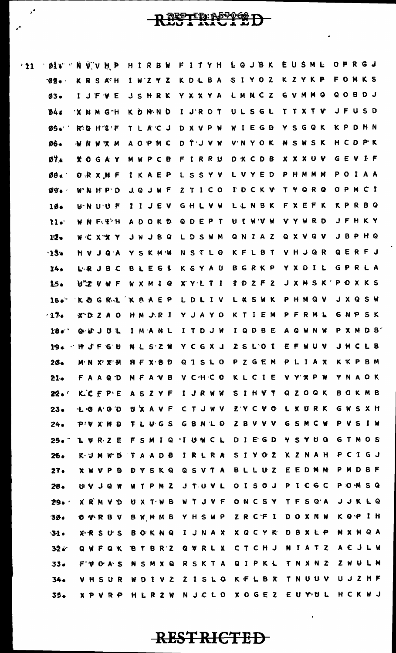### RESTREEPED

 $\mathbf{r}^{\star}$ 

 $\mathbf{r}^{\mathbf{r}}$ 

LQJBK EUSME OPRGJ FITYH 'øi¥''N V V H P HIRBW  $^{\circ}11$ FONKS K Z Y K P SIYOZ  $02 -$ KRSAH  $1 W Z Y Z$ **KDLBA** QOBDJ LMNCZ G V M M Q  $03 -$ IJFVE **JSHRK** YXXYA ULSGL TTXTV **JFUSD 044 X H M G H** KDMND I J'R O T YSGQK **KPDHN** TLACJ D X V P W WIEGD Ø5.  $R$   $R$   $H$   $I$   $F$ HCDPK DTJVW NSWSK AOPMC **V'N Y O K** 06. **WNWXM**  $0.7<sub>4</sub>$ MWPCB FIRRU D X C D B **XXXUV** GEVIF YOGAY LVYED **PHMMM** POIAA  $88.7$ ORXHF IKAEP LSSYV  $09.$ WNHPD **JQJWF**  $Z$   $T$   $I$   $C$   $O$ **TDCKV** T Y Q R Q **OPMCI** FXEFK **KPRBQ IINBK**  $U' N U' U F$ **TIJEV** GHLVW 10. **JFHKY QDEPT N J M A M V Y W R D**  $11.$ W N F EN ADOKD JBPHQ QNIAZ 9 X V 9 V 12. WCXXXY **JWJRQ** LDSWM QERFJ **KFLBT** VHJQR  $-13x$ YSKMW **NSTLO HVJQA** KSYAU **BGRKP** YXDIL GPRLA  $24.$ LRJBC BLEGI J X M S K ' XYLTI  $1$   $0$   $2$   $F$   $2$ POXKS  $15.$ U"Z V W F **WXMIQ** KOGRIKRAEP LDLIV **I X S W K** PHMQV **J X Q S W**  $16.$ **GNPSK** YJAYO **KTIFM PF** R M L  $-17.$ HM JR I  $X^*DZ A O$  $18.$ のかつねず IMANL ITDJW IQDBE A Q W N W P X M D B YCGXJ  $Z S L O I$ EFWUV J M C L B 19. **\* P J F G U NISZW** PZGEM  $20 -$ MNYYM HFXBD Q I S L O PLIAX **KKPBM**  $21 -$ MFAVB V CHCO KLCIE V Y X P W YNAOK FAAQD SIHVT **QZOQK BOKMB**  $22 -$ K.CFPE IJRWW ASZYF **UXAVF** CTJWV **ZYCVO** LXURK GWSXH  $23 -$ LOAOD GSMCW PVSIW **TLUGS** GBNLO **7 B V V V**  $24.$  $D: M \times M$  is a **GTMOS**  $25 - 7$ L W R Z E **FSMIQ MIUNCL**  $D$   $I$   $E$   $G$   $D$ YSYUQ  $D$   $B$ IRLRA SIVOZ KZNAH PCIGJ 26. K-M M u n T  $\Delta$  $\mathbf{A}$ EEDMM PMDBF  $27.$ SKQ QSVTA  $B L L H Z$ **XWVPD** Đ Y P  $0$  I S  $0$  J  $1 C G C$ **POMSQ**  $28 -$ **IN OL VIII** W  $\mathbf{r}$ P **N** 2 J TU V L WIJVF **ONCSY** TFSQA **JJKLQ**  $29.$ **XRMVD** UXTWB K Q P I H YHSWP ZRCFI **DOXNW**  $30.$ **O** WRB V BWMMB **XQCYK** OBXLP MXMQA **XRSUS ROKNQ** IJNAX  $31.$ ACJLW **BTBRZ** CTCHJ NIATZ  $32 -$ QVRLX **QWFQK QIPKL** T N X N Z **ZWULM** 33.  $F^*\Psi$  O A S **NSMXQ** RSKTA UJZHF 34. I V Z  $2$   $1$   $5$   $L$  0 KFLBX TNUUV VHSUR WD HCKWJ N J C L O X O G E Z EU YOU  $35-$ R Z W  $Y \cdot P$ **M** R P HL

**RESTRICTED** 

 $\blacksquare$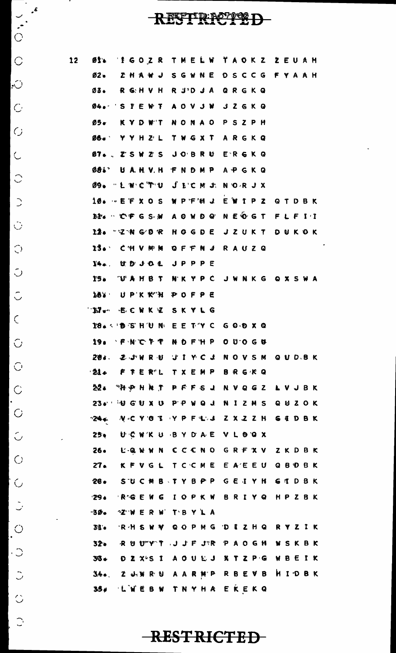#### RESTRECTED

 $\hat{\mathbf{z}}$ 

 $\overline{\phantom{a}}$  $\cdot^{\mathcal{S}}$ 

 $\sum_{i=1}^{n}$ 

 $\hat{C}$ 

 $\overline{\bigcirc}$ 

 $\overline{C}$ 

 $\overline{G}$ 

 $\overline{C}$ 

 $\hat{C}$ 

 $\overline{C}$ 

 $\ddot{\bigcirc}$ 

 $\bigcirc$ 

 $\circlearrowleft$ 

 $\hat{\circ}$ 

 $\mathcal{L}$ 

 $\hat{C}$ 

 $\overline{C}$ 

 $\hat{C}$ l.

 $\overline{C}$ 

 $\hat{\cup}$ 

 $\overline{O}$ 

 $\overline{\phantom{a}}$ 

 $\ddot{\cup}$ 

 $\bigcup_{i=1}^{n}$ 

 $|\cdot$ 

 $\ddot{\circ}$ 

 $\hat{\circ}$ 

 $\bigcirc$ 

| 12 | Ø1.           |                     | 'Í G O Z R  T M E L W   Ť A O K Z   Ž E U A H  |  |
|----|---------------|---------------------|------------------------------------------------|--|
|    | Ø2.           |                     | ZHAWJ SGWNE DSCCG FYAAH                        |  |
|    | Ø3.           |                     | R G: H V H R J D J A Q R G K Q                 |  |
|    |               |                     | 04. S P E W T A O V J W J Z G K Q              |  |
|    | Ø5.           |                     | KYDWT NONAO PSZPH                              |  |
|    |               |                     | <b>Ø6. YYHZL TWGXT ARGKQ</b>                   |  |
|    |               |                     | 07. . <i>I</i> SWZS JOBRU E`RGKQ               |  |
|    | Ø8L'          |                     | UAHVH FNDMP APGKQ                              |  |
|    |               |                     | Ø9. "L W C T U ∫ L'C M J. N O R J X            |  |
|    |               |                     | 10.  ET X O S N P F H J E W I P Z Q T D B K    |  |
|    |               |                     | EP . CF G S . M A O W D Q N E O G T F L F I 'I |  |
|    |               |                     | 12. ZNGOR HOGDE JZUKT DUKOK                    |  |
|    |               |                     | 13. CHVMM QFFNJ RAUZQ                          |  |
|    | 14.           | U D J O L J P P P E |                                                |  |
|    | IS.           |                     | <b>WAHBT NKYPC JWNKG QXSWA</b>                 |  |
|    | 187           | UP'K K"H POFPE      |                                                |  |
|    | $M_{\bullet}$ | <b>ECWKZ SKYLG</b>  |                                                |  |
|    |               |                     | 18. DSHUN EETYC GODXQ                          |  |
|    |               |                     | 19. FNCFT NDFHP OUOGU                          |  |
|    |               |                     | 204. ZUWRU JIYCJ NOVSM QUDBK                   |  |
|    |               |                     | · 214 F T E R"L 「 X E M P B R G K Q            |  |
|    |               |                     | 22. "科やHNT PFFSJ NVQGZ LVJBK                   |  |
|    |               |                     | $23 \cdot 10$ GUXU PP WQJ NIZMS QUZOK          |  |
|    | $-24 +$       |                     | <b>NCYOT YPFLJ ZXZZH GEDBK</b>                 |  |
|    | 25.           |                     | UCWKU BYDAE VLOGX                              |  |
|    |               |                     | 26. EQWWN CCCNO GRFXV ZKDBK                    |  |
|    |               |                     | 27. KFVGL TCCME EAEEU QBDBK                    |  |
|    | $28 -$        |                     | SUCMB TYBPP GEIYH GTDBK                        |  |
|    | 29.           |                     | RGEWG IOPKW BRIYQ HPZBK                        |  |
|    | -30.          | <b>WWERW TBYLA</b>  |                                                |  |
|    | 31.           |                     | RH SW W QOPMG DIZHQ RYZIK                      |  |
|    |               |                     | 32. RUUTYT JJFJR PAOGH WSKBK                   |  |
|    |               |                     | 36. DZX-SI AOULJ XTZPG WBEIK                   |  |
|    |               |                     | 34. ZUWRU AARMP RBEVB HIDBK                    |  |
|    | ن 35          |                     | <b>INEBW TNYHA EKEKQ</b>                       |  |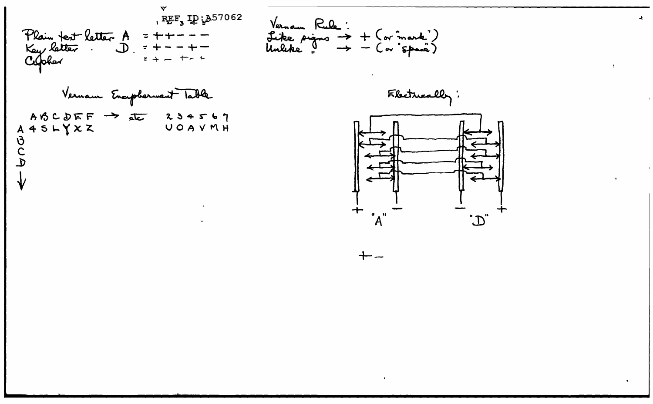REF, ID: 357062 Vernan Rule :<br>Like pigns -> + (or mark')<br>Unleke " -> - (or "space) Plain text letter A<br>Key letter . D.  $= + +$  $7 +$ Cipher Vernam Encepherment Table Flecturally:  $ABCDEF \rightarrow AC 234567$  $A 4 5 L Y X Z$ UOAVMH もしり  $"A"$  $\ddot{\mathcal{D}}$